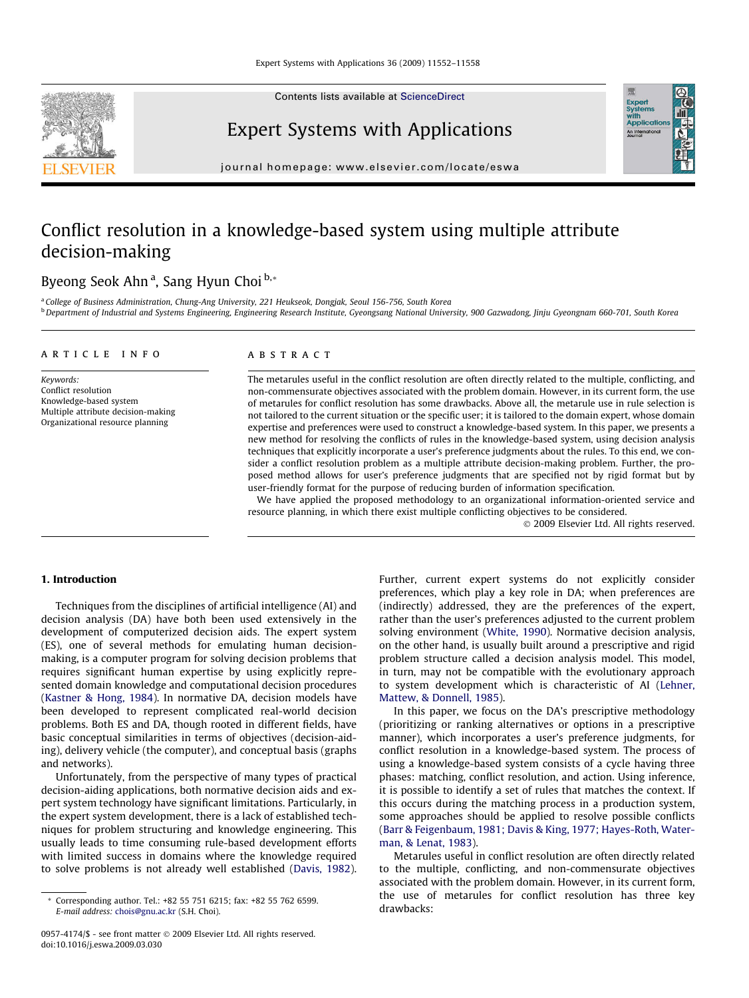Contents lists available at [ScienceDirect](http://www.sciencedirect.com/science/journal/09574174)



Expert Systems with Applications

journal homepage: [www.elsevier.com/locate/eswa](http://www.elsevier.com/locate/eswa)

## Conflict resolution in a knowledge-based system using multiple attribute decision-making

## Byeong Seok Ahn<sup>a</sup>, Sang Hyun Choi <sup>b,</sup>\*

<sup>a</sup> College of Business Administration, Chung-Ang University, 221 Heukseok, Dongjak, Seoul 156-756, South Korea **b** Department of Industrial and Systems Engineering, Engineering Research Institute, Gyeongsang National University, 900 Gazwadong, Jinju Gyeongnam 660-701, South Korea

### article info

Keywords: Conflict resolution Knowledge-based system Multiple attribute decision-making Organizational resource planning

## **ABSTRACT**

The metarules useful in the conflict resolution are often directly related to the multiple, conflicting, and non-commensurate objectives associated with the problem domain. However, in its current form, the use of metarules for conflict resolution has some drawbacks. Above all, the metarule use in rule selection is not tailored to the current situation or the specific user; it is tailored to the domain expert, whose domain expertise and preferences were used to construct a knowledge-based system. In this paper, we presents a new method for resolving the conflicts of rules in the knowledge-based system, using decision analysis techniques that explicitly incorporate a user's preference judgments about the rules. To this end, we consider a conflict resolution problem as a multiple attribute decision-making problem. Further, the proposed method allows for user's preference judgments that are specified not by rigid format but by user-friendly format for the purpose of reducing burden of information specification.

We have applied the proposed methodology to an organizational information-oriented service and resource planning, in which there exist multiple conflicting objectives to be considered.

- 2009 Elsevier Ltd. All rights reserved.

Expert<br>Syster

## 1. Introduction

Techniques from the disciplines of artificial intelligence (AI) and decision analysis (DA) have both been used extensively in the development of computerized decision aids. The expert system (ES), one of several methods for emulating human decisionmaking, is a computer program for solving decision problems that requires significant human expertise by using explicitly represented domain knowledge and computational decision procedures ([Kastner & Hong, 1984\)](#page--1-0). In normative DA, decision models have been developed to represent complicated real-world decision problems. Both ES and DA, though rooted in different fields, have basic conceptual similarities in terms of objectives (decision-aiding), delivery vehicle (the computer), and conceptual basis (graphs and networks).

Unfortunately, from the perspective of many types of practical decision-aiding applications, both normative decision aids and expert system technology have significant limitations. Particularly, in the expert system development, there is a lack of established techniques for problem structuring and knowledge engineering. This usually leads to time consuming rule-based development efforts with limited success in domains where the knowledge required to solve problems is not already well established ([Davis, 1982\)](#page--1-0). Further, current expert systems do not explicitly consider preferences, which play a key role in DA; when preferences are (indirectly) addressed, they are the preferences of the expert, rather than the user's preferences adjusted to the current problem solving environment [\(White, 1990\)](#page--1-0). Normative decision analysis, on the other hand, is usually built around a prescriptive and rigid problem structure called a decision analysis model. This model, in turn, may not be compatible with the evolutionary approach to system development which is characteristic of AI [\(Lehner,](#page--1-0) [Mattew, & Donnell, 1985\)](#page--1-0).

In this paper, we focus on the DA's prescriptive methodology (prioritizing or ranking alternatives or options in a prescriptive manner), which incorporates a user's preference judgments, for conflict resolution in a knowledge-based system. The process of using a knowledge-based system consists of a cycle having three phases: matching, conflict resolution, and action. Using inference, it is possible to identify a set of rules that matches the context. If this occurs during the matching process in a production system, some approaches should be applied to resolve possible conflicts ([Barr & Feigenbaum, 1981; Davis & King, 1977; Hayes-Roth, Water](#page--1-0)[man, & Lenat, 1983\)](#page--1-0).

Metarules useful in conflict resolution are often directly related to the multiple, conflicting, and non-commensurate objectives associated with the problem domain. However, in its current form, the use of metarules for conflict resolution has three key drawbacks:

<sup>\*</sup> Corresponding author. Tel.: +82 55 751 6215; fax: +82 55 762 6599. E-mail address: [chois@gnu.ac.kr](mailto:chois@gnu.ac.kr) (S.H. Choi).

<sup>0957-4174/\$ -</sup> see front matter © 2009 Elsevier Ltd. All rights reserved. doi:10.1016/j.eswa.2009.03.030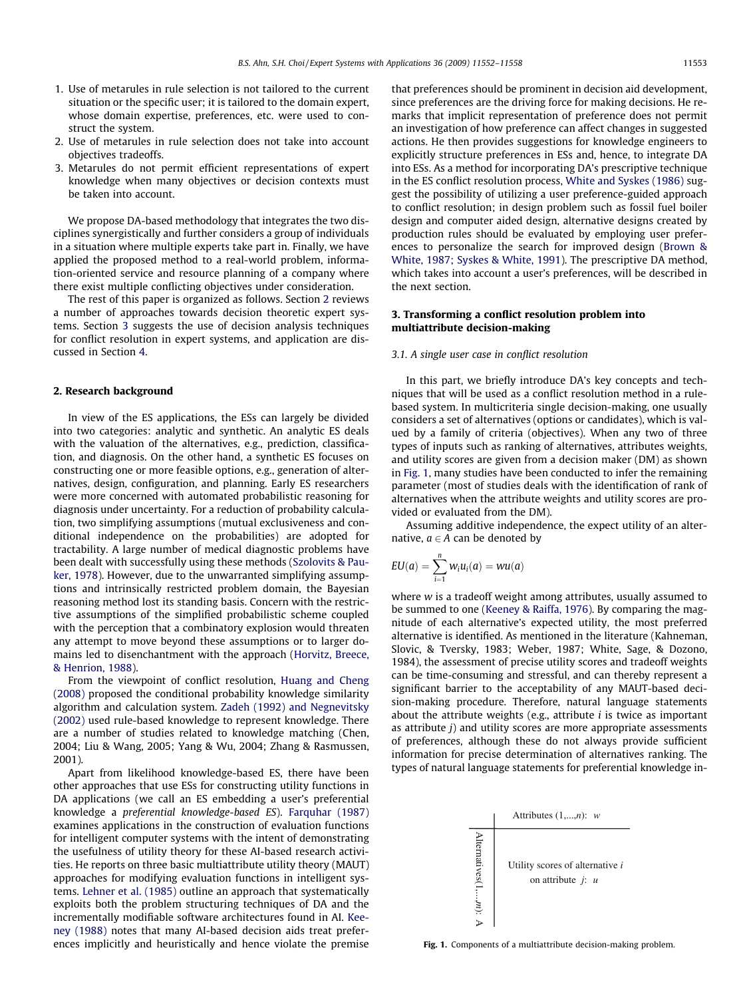- 1. Use of metarules in rule selection is not tailored to the current situation or the specific user; it is tailored to the domain expert, whose domain expertise, preferences, etc. were used to construct the system.
- 2. Use of metarules in rule selection does not take into account objectives tradeoffs.
- 3. Metarules do not permit efficient representations of expert knowledge when many objectives or decision contexts must be taken into account.

We propose DA-based methodology that integrates the two disciplines synergistically and further considers a group of individuals in a situation where multiple experts take part in. Finally, we have applied the proposed method to a real-world problem, information-oriented service and resource planning of a company where there exist multiple conflicting objectives under consideration.

The rest of this paper is organized as follows. Section 2 reviews a number of approaches towards decision theoretic expert systems. Section 3 suggests the use of decision analysis techniques for conflict resolution in expert systems, and application are discussed in Section [4](#page--1-0).

#### 2. Research background

In view of the ES applications, the ESs can largely be divided into two categories: analytic and synthetic. An analytic ES deals with the valuation of the alternatives, e.g., prediction, classification, and diagnosis. On the other hand, a synthetic ES focuses on constructing one or more feasible options, e.g., generation of alternatives, design, configuration, and planning. Early ES researchers were more concerned with automated probabilistic reasoning for diagnosis under uncertainty. For a reduction of probability calculation, two simplifying assumptions (mutual exclusiveness and conditional independence on the probabilities) are adopted for tractability. A large number of medical diagnostic problems have been dealt with successfully using these methods [\(Szolovits & Pau](#page--1-0)[ker, 1978\)](#page--1-0). However, due to the unwarranted simplifying assumptions and intrinsically restricted problem domain, the Bayesian reasoning method lost its standing basis. Concern with the restrictive assumptions of the simplified probabilistic scheme coupled with the perception that a combinatory explosion would threaten any attempt to move beyond these assumptions or to larger domains led to disenchantment with the approach ([Horvitz, Breece,](#page--1-0) [& Henrion, 1988](#page--1-0)).

From the viewpoint of conflict resolution, [Huang and Cheng](#page--1-0) [\(2008\)](#page--1-0) proposed the conditional probability knowledge similarity algorithm and calculation system. [Zadeh \(1992\) and Negnevitsky](#page--1-0) [\(2002\)](#page--1-0) used rule-based knowledge to represent knowledge. There are a number of studies related to knowledge matching (Chen, 2004; Liu & Wang, 2005; Yang & Wu, 2004; Zhang & Rasmussen, 2001).

Apart from likelihood knowledge-based ES, there have been other approaches that use ESs for constructing utility functions in DA applications (we call an ES embedding a user's preferential knowledge a preferential knowledge-based ES). [Farquhar \(1987\)](#page--1-0) examines applications in the construction of evaluation functions for intelligent computer systems with the intent of demonstrating the usefulness of utility theory for these AI-based research activities. He reports on three basic multiattribute utility theory (MAUT) approaches for modifying evaluation functions in intelligent systems. [Lehner et al. \(1985\)](#page--1-0) outline an approach that systematically exploits both the problem structuring techniques of DA and the incrementally modifiable software architectures found in AI. [Kee](#page--1-0)[ney \(1988\)](#page--1-0) notes that many AI-based decision aids treat preferences implicitly and heuristically and hence violate the premise that preferences should be prominent in decision aid development, since preferences are the driving force for making decisions. He remarks that implicit representation of preference does not permit an investigation of how preference can affect changes in suggested actions. He then provides suggestions for knowledge engineers to explicitly structure preferences in ESs and, hence, to integrate DA into ESs. As a method for incorporating DA's prescriptive technique in the ES conflict resolution process, [White and Syskes \(1986\)](#page--1-0) suggest the possibility of utilizing a user preference-guided approach to conflict resolution; in design problem such as fossil fuel boiler design and computer aided design, alternative designs created by production rules should be evaluated by employing user preferences to personalize the search for improved design ([Brown &](#page--1-0) [White, 1987; Syskes & White, 1991](#page--1-0)). The prescriptive DA method, which takes into account a user's preferences, will be described in the next section.

## 3. Transforming a conflict resolution problem into multiattribute decision-making

## 3.1. A single user case in conflict resolution

In this part, we briefly introduce DA's key concepts and techniques that will be used as a conflict resolution method in a rulebased system. In multicriteria single decision-making, one usually considers a set of alternatives (options or candidates), which is valued by a family of criteria (objectives). When any two of three types of inputs such as ranking of alternatives, attributes weights, and utility scores are given from a decision maker (DM) as shown in Fig. 1, many studies have been conducted to infer the remaining parameter (most of studies deals with the identification of rank of alternatives when the attribute weights and utility scores are provided or evaluated from the DM).

Assuming additive independence, the expect utility of an alternative,  $a \in A$  can be denoted by

$$
EU(a) = \sum_{i=1}^n w_i u_i(a) = w u(a)
$$

where w is a tradeoff weight among attributes, usually assumed to be summed to one [\(Keeney & Raiffa, 1976\)](#page--1-0). By comparing the magnitude of each alternative's expected utility, the most preferred alternative is identified. As mentioned in the literature (Kahneman, Slovic, & Tversky, 1983; Weber, 1987; White, Sage, & Dozono, 1984), the assessment of precise utility scores and tradeoff weights can be time-consuming and stressful, and can thereby represent a significant barrier to the acceptability of any MAUT-based decision-making procedure. Therefore, natural language statements about the attribute weights (e.g., attribute  $i$  is twice as important as attribute  $j$ ) and utility scores are more appropriate assessments of preferences, although these do not always provide sufficient information for precise determination of alternatives ranking. The types of natural language statements for preferential knowledge in-